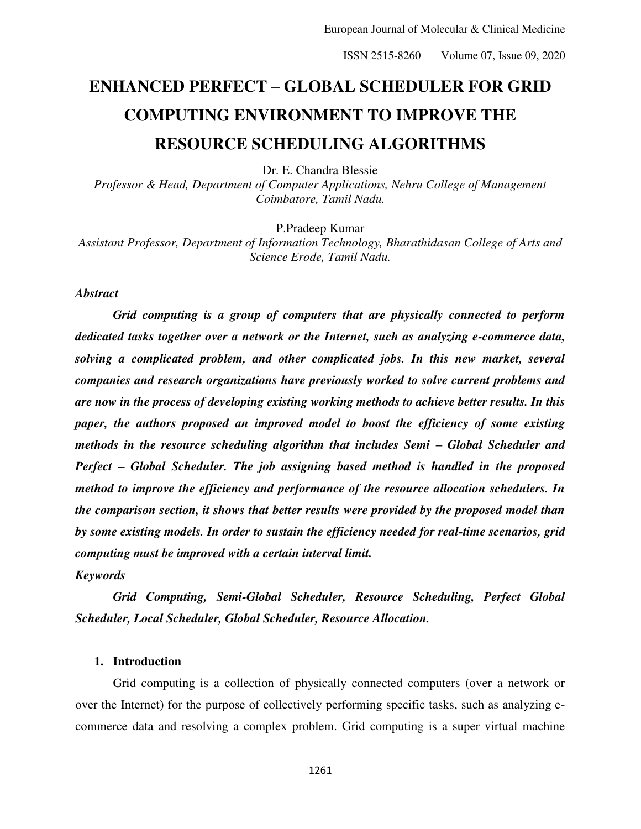# **ENHANCED PERFECT – GLOBAL SCHEDULER FOR GRID COMPUTING ENVIRONMENT TO IMPROVE THE RESOURCE SCHEDULING ALGORITHMS**

Dr. E. Chandra Blessie

*Professor & Head, Department of Computer Applications, Nehru College of Management Coimbatore, Tamil Nadu.* 

P.Pradeep Kumar

*Assistant Professor, Department of Information Technology, Bharathidasan College of Arts and Science Erode, Tamil Nadu.* 

# *Abstract*

*Grid computing is a group of computers that are physically connected to perform dedicated tasks together over a network or the Internet, such as analyzing e-commerce data, solving a complicated problem, and other complicated jobs. In this new market, several companies and research organizations have previously worked to solve current problems and are now in the process of developing existing working methods to achieve better results. In this paper, the authors proposed an improved model to boost the efficiency of some existing methods in the resource scheduling algorithm that includes Semi – Global Scheduler and Perfect – Global Scheduler. The job assigning based method is handled in the proposed method to improve the efficiency and performance of the resource allocation schedulers. In the comparison section, it shows that better results were provided by the proposed model than by some existing models. In order to sustain the efficiency needed for real-time scenarios, grid computing must be improved with a certain interval limit.* 

# *Keywords*

*Grid Computing, Semi-Global Scheduler, Resource Scheduling, Perfect Global Scheduler, Local Scheduler, Global Scheduler, Resource Allocation.* 

## **1. Introduction**

Grid computing is a collection of physically connected computers (over a network or over the Internet) for the purpose of collectively performing specific tasks, such as analyzing ecommerce data and resolving a complex problem. Grid computing is a super virtual machine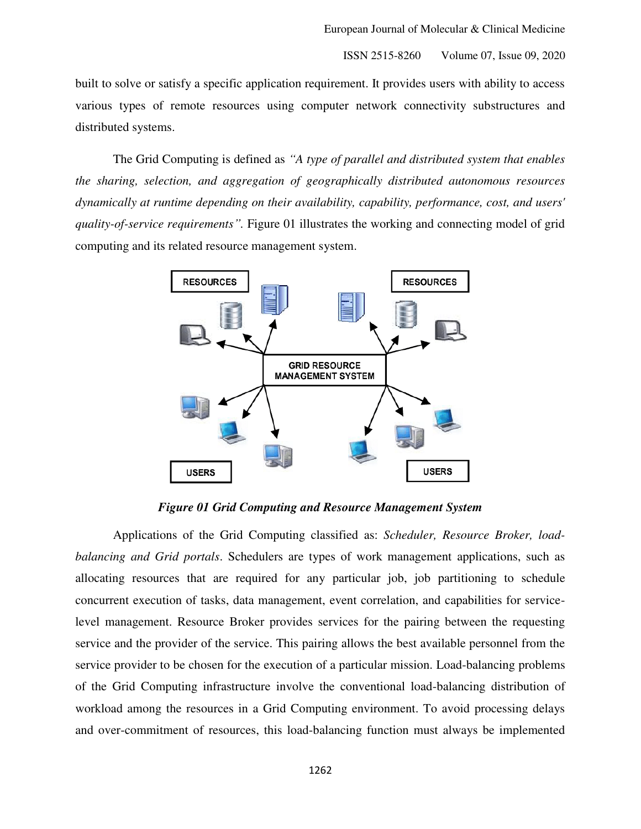built to solve or satisfy a specific application requirement. It provides users with ability to access various types of remote resources using computer network connectivity substructures and distributed systems.

The Grid Computing is defined as *"A type of parallel and distributed system that enables the sharing, selection, and aggregation of geographically distributed autonomous resources dynamically at runtime depending on their availability, capability, performance, cost, and users' quality-of-service requirements".* Figure 01 illustrates the working and connecting model of grid computing and its related resource management system.



*Figure 01 Grid Computing and Resource Management System* 

Applications of the Grid Computing classified as: *Scheduler, Resource Broker, loadbalancing and Grid portals*. Schedulers are types of work management applications, such as allocating resources that are required for any particular job, job partitioning to schedule concurrent execution of tasks, data management, event correlation, and capabilities for servicelevel management. Resource Broker provides services for the pairing between the requesting service and the provider of the service. This pairing allows the best available personnel from the service provider to be chosen for the execution of a particular mission. Load-balancing problems of the Grid Computing infrastructure involve the conventional load-balancing distribution of workload among the resources in a Grid Computing environment. To avoid processing delays and over-commitment of resources, this load-balancing function must always be implemented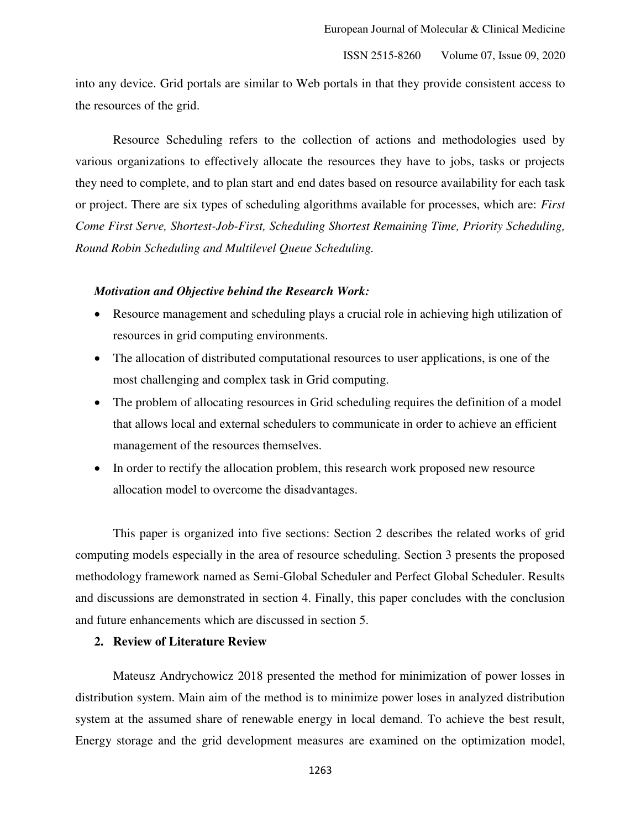into any device. Grid portals are similar to Web portals in that they provide consistent access to the resources of the grid.

Resource Scheduling refers to the collection of actions and methodologies used by various organizations to effectively allocate the resources they have to jobs, tasks or projects they need to complete, and to plan start and end dates based on resource availability for each task or project. There are six types of scheduling algorithms available for processes, which are: *First Come First Serve, Shortest-Job-First, Scheduling Shortest Remaining Time, Priority Scheduling, Round Robin Scheduling and Multilevel Queue Scheduling.*

#### *Motivation and Objective behind the Research Work:*

- Resource management and scheduling plays a crucial role in achieving high utilization of resources in grid computing environments.
- The allocation of distributed computational resources to user applications, is one of the most challenging and complex task in Grid computing.
- The problem of allocating resources in Grid scheduling requires the definition of a model that allows local and external schedulers to communicate in order to achieve an efficient management of the resources themselves.
- In order to rectify the allocation problem, this research work proposed new resource allocation model to overcome the disadvantages.

This paper is organized into five sections: Section 2 describes the related works of grid computing models especially in the area of resource scheduling. Section 3 presents the proposed methodology framework named as Semi-Global Scheduler and Perfect Global Scheduler. Results and discussions are demonstrated in section 4. Finally, this paper concludes with the conclusion and future enhancements which are discussed in section 5.

# **2. Review of Literature Review**

Mateusz Andrychowicz 2018 presented the method for minimization of power losses in distribution system. Main aim of the method is to minimize power loses in analyzed distribution system at the assumed share of renewable energy in local demand. To achieve the best result, Energy storage and the grid development measures are examined on the optimization model,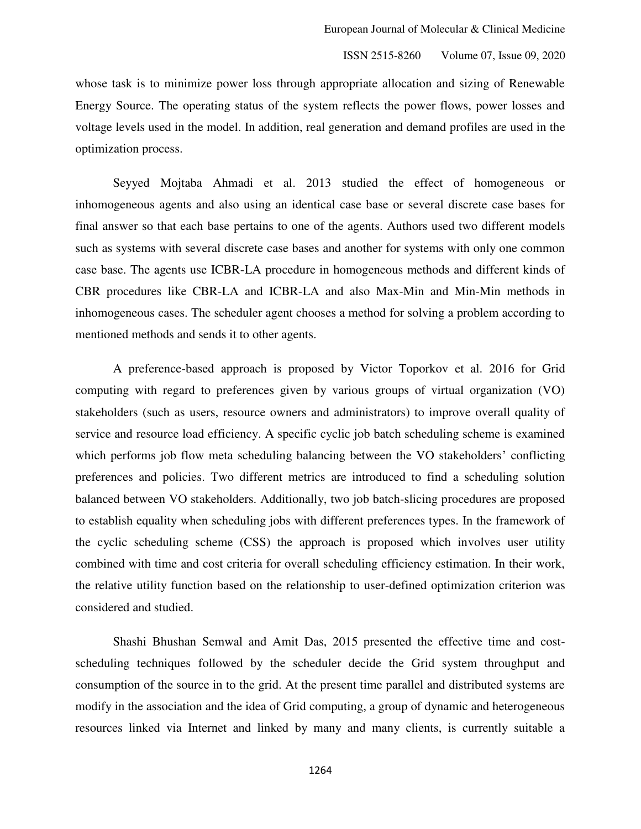whose task is to minimize power loss through appropriate allocation and sizing of Renewable Energy Source. The operating status of the system reflects the power flows, power losses and voltage levels used in the model. In addition, real generation and demand profiles are used in the optimization process.

Seyyed Mojtaba Ahmadi et al. 2013 studied the effect of homogeneous or inhomogeneous agents and also using an identical case base or several discrete case bases for final answer so that each base pertains to one of the agents. Authors used two different models such as systems with several discrete case bases and another for systems with only one common case base. The agents use ICBR-LA procedure in homogeneous methods and different kinds of CBR procedures like CBR-LA and ICBR-LA and also Max-Min and Min-Min methods in inhomogeneous cases. The scheduler agent chooses a method for solving a problem according to mentioned methods and sends it to other agents.

A preference-based approach is proposed by Victor Toporkov et al. 2016 for Grid computing with regard to preferences given by various groups of virtual organization (VO) stakeholders (such as users, resource owners and administrators) to improve overall quality of service and resource load efficiency. A specific cyclic job batch scheduling scheme is examined which performs job flow meta scheduling balancing between the VO stakeholders' conflicting preferences and policies. Two different metrics are introduced to find a scheduling solution balanced between VO stakeholders. Additionally, two job batch-slicing procedures are proposed to establish equality when scheduling jobs with different preferences types. In the framework of the cyclic scheduling scheme (CSS) the approach is proposed which involves user utility combined with time and cost criteria for overall scheduling efficiency estimation. In their work, the relative utility function based on the relationship to user-defined optimization criterion was considered and studied.

Shashi Bhushan Semwal and Amit Das, 2015 presented the effective time and costscheduling techniques followed by the scheduler decide the Grid system throughput and consumption of the source in to the grid. At the present time parallel and distributed systems are modify in the association and the idea of Grid computing, a group of dynamic and heterogeneous resources linked via Internet and linked by many and many clients, is currently suitable a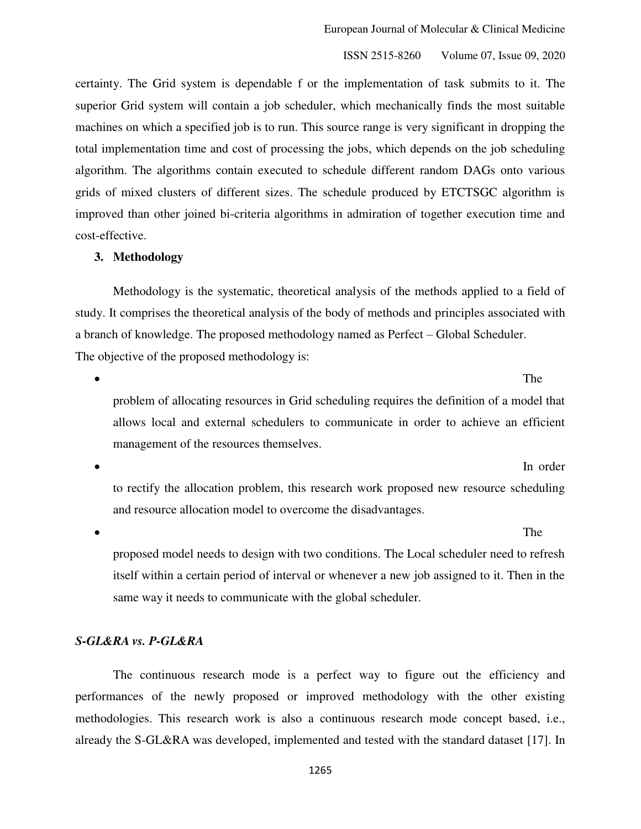certainty. The Grid system is dependable f or the implementation of task submits to it. The superior Grid system will contain a job scheduler, which mechanically finds the most suitable machines on which a specified job is to run. This source range is very significant in dropping the total implementation time and cost of processing the jobs, which depends on the job scheduling algorithm. The algorithms contain executed to schedule different random DAGs onto various grids of mixed clusters of different sizes. The schedule produced by ETCTSGC algorithm is improved than other joined bi-criteria algorithms in admiration of together execution time and cost-effective.

#### **3. Methodology**

Methodology is the systematic, theoretical analysis of the methods applied to a field of study. It comprises the theoretical analysis of the body of methods and principles associated with a branch of knowledge. The proposed methodology named as Perfect – Global Scheduler. The objective of the proposed methodology is:

• The structure of the structure of the structure of the structure of the structure of the structure of the structure of the structure of the structure of the structure of the structure of the structure of the structure of

problem of allocating resources in Grid scheduling requires the definition of a model that allows local and external schedulers to communicate in order to achieve an efficient management of the resources themselves.

 In order to rectify the allocation problem, this research work proposed new resource scheduling and resource allocation model to overcome the disadvantages.

• The structure of the structure of the structure of the structure of the structure of the structure of the structure of the structure of the structure of the structure of the structure of the structure of the structure of

proposed model needs to design with two conditions. The Local scheduler need to refresh itself within a certain period of interval or whenever a new job assigned to it. Then in the same way it needs to communicate with the global scheduler.

# *S-GL&RA vs. P-GL&RA*

 The continuous research mode is a perfect way to figure out the efficiency and performances of the newly proposed or improved methodology with the other existing methodologies. This research work is also a continuous research mode concept based, i.e., already the S-GL&RA was developed, implemented and tested with the standard dataset [17]. In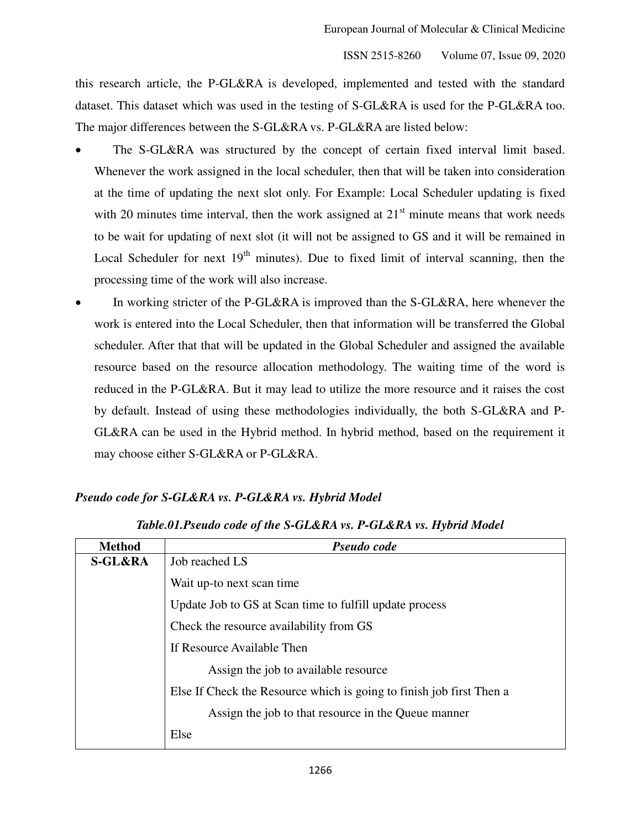this research article, the P-GL&RA is developed, implemented and tested with the standard dataset. This dataset which was used in the testing of S-GL&RA is used for the P-GL&RA too. The major differences between the S-GL&RA vs. P-GL&RA are listed below:

- The S-GL&RA was structured by the concept of certain fixed interval limit based. Whenever the work assigned in the local scheduler, then that will be taken into consideration at the time of updating the next slot only. For Example: Local Scheduler updating is fixed with 20 minutes time interval, then the work assigned at  $21<sup>st</sup>$  minute means that work needs to be wait for updating of next slot (it will not be assigned to GS and it will be remained in Local Scheduler for next  $19<sup>th</sup>$  minutes). Due to fixed limit of interval scanning, then the processing time of the work will also increase.
- In working stricter of the P-GL&RA is improved than the S-GL&RA, here whenever the work is entered into the Local Scheduler, then that information will be transferred the Global scheduler. After that that will be updated in the Global Scheduler and assigned the available resource based on the resource allocation methodology. The waiting time of the word is reduced in the P-GL&RA. But it may lead to utilize the more resource and it raises the cost by default. Instead of using these methodologies individually, the both S-GL&RA and P-GL&RA can be used in the Hybrid method. In hybrid method, based on the requirement it may choose either S-GL&RA or P-GL&RA.

# *Pseudo code for S-GL&RA vs. P-GL&RA vs. Hybrid Model*

| <b>Method</b>      | Pseudo code                                                          |  |  |  |  |  |  |  |  |
|--------------------|----------------------------------------------------------------------|--|--|--|--|--|--|--|--|
| <b>S-GL&amp;RA</b> | Job reached LS                                                       |  |  |  |  |  |  |  |  |
|                    | Wait up-to next scan time                                            |  |  |  |  |  |  |  |  |
|                    | Update Job to GS at Scan time to fulfill update process              |  |  |  |  |  |  |  |  |
|                    | Check the resource availability from GS                              |  |  |  |  |  |  |  |  |
|                    | If Resource Available Then                                           |  |  |  |  |  |  |  |  |
|                    | Assign the job to available resource                                 |  |  |  |  |  |  |  |  |
|                    | Else If Check the Resource which is going to finish job first Then a |  |  |  |  |  |  |  |  |
|                    | Assign the job to that resource in the Queue manner                  |  |  |  |  |  |  |  |  |
|                    | Else                                                                 |  |  |  |  |  |  |  |  |

*Table.01.Pseudo code of the S-GL&RA vs. P-GL&RA vs. Hybrid Model*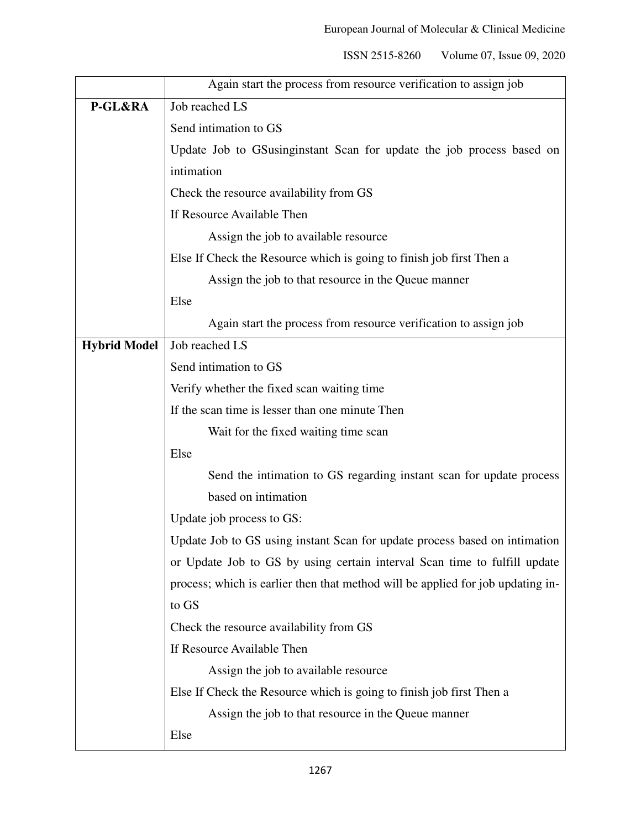|                     | Again start the process from resource verification to assign job                |  |  |  |  |  |  |  |  |
|---------------------|---------------------------------------------------------------------------------|--|--|--|--|--|--|--|--|
| P-GL&RA             | Job reached LS                                                                  |  |  |  |  |  |  |  |  |
|                     | Send intimation to GS                                                           |  |  |  |  |  |  |  |  |
|                     | Update Job to GSusinginstant Scan for update the job process based on           |  |  |  |  |  |  |  |  |
|                     | intimation                                                                      |  |  |  |  |  |  |  |  |
|                     | Check the resource availability from GS                                         |  |  |  |  |  |  |  |  |
|                     | If Resource Available Then                                                      |  |  |  |  |  |  |  |  |
|                     | Assign the job to available resource                                            |  |  |  |  |  |  |  |  |
|                     | Else If Check the Resource which is going to finish job first Then a            |  |  |  |  |  |  |  |  |
|                     | Assign the job to that resource in the Queue manner                             |  |  |  |  |  |  |  |  |
|                     | Else                                                                            |  |  |  |  |  |  |  |  |
|                     | Again start the process from resource verification to assign job                |  |  |  |  |  |  |  |  |
| <b>Hybrid Model</b> | Job reached LS                                                                  |  |  |  |  |  |  |  |  |
|                     | Send intimation to GS                                                           |  |  |  |  |  |  |  |  |
|                     | Verify whether the fixed scan waiting time                                      |  |  |  |  |  |  |  |  |
|                     | If the scan time is lesser than one minute Then                                 |  |  |  |  |  |  |  |  |
|                     | Wait for the fixed waiting time scan                                            |  |  |  |  |  |  |  |  |
|                     | Else                                                                            |  |  |  |  |  |  |  |  |
|                     | Send the intimation to GS regarding instant scan for update process             |  |  |  |  |  |  |  |  |
|                     | based on intimation                                                             |  |  |  |  |  |  |  |  |
|                     | Update job process to GS:                                                       |  |  |  |  |  |  |  |  |
|                     | Update Job to GS using instant Scan for update process based on intimation      |  |  |  |  |  |  |  |  |
|                     | or Update Job to GS by using certain interval Scan time to fulfill update       |  |  |  |  |  |  |  |  |
|                     | process; which is earlier then that method will be applied for job updating in- |  |  |  |  |  |  |  |  |
|                     | to GS                                                                           |  |  |  |  |  |  |  |  |
|                     | Check the resource availability from GS                                         |  |  |  |  |  |  |  |  |
|                     | If Resource Available Then                                                      |  |  |  |  |  |  |  |  |
|                     | Assign the job to available resource                                            |  |  |  |  |  |  |  |  |
|                     | Else If Check the Resource which is going to finish job first Then a            |  |  |  |  |  |  |  |  |
|                     | Assign the job to that resource in the Queue manner                             |  |  |  |  |  |  |  |  |
|                     | Else                                                                            |  |  |  |  |  |  |  |  |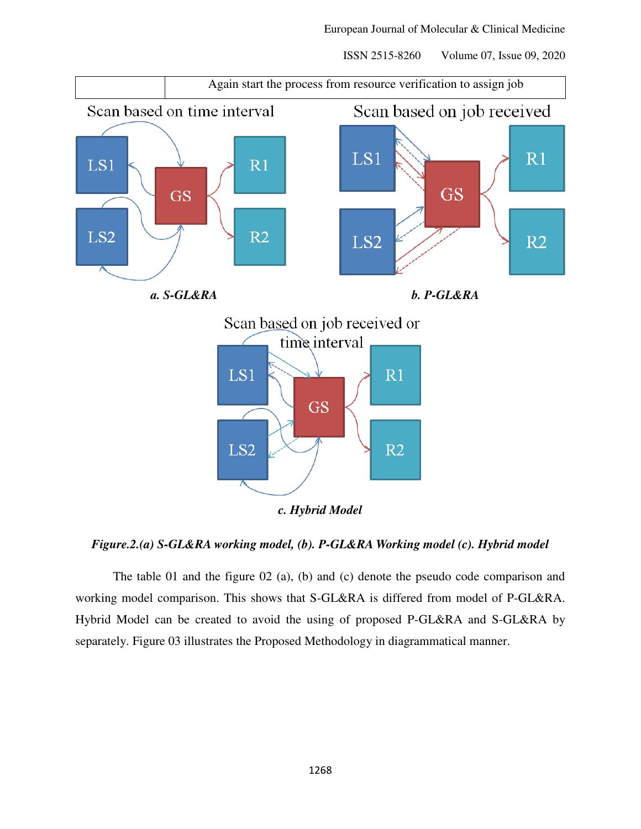

#### *Figure.2.(a) S-GL&RA working model, (b). P-GL&RA Working model (c). Hybrid model*

 The table 01 and the figure 02 (a), (b) and (c) denote the pseudo code comparison and working model comparison. This shows that S-GL&RA is differed from model of P-GL&RA. Hybrid Model can be created to avoid the using of proposed P-GL&RA and S-GL&RA by separately. Figure 03 illustrates the Proposed Methodology in diagrammatical manner.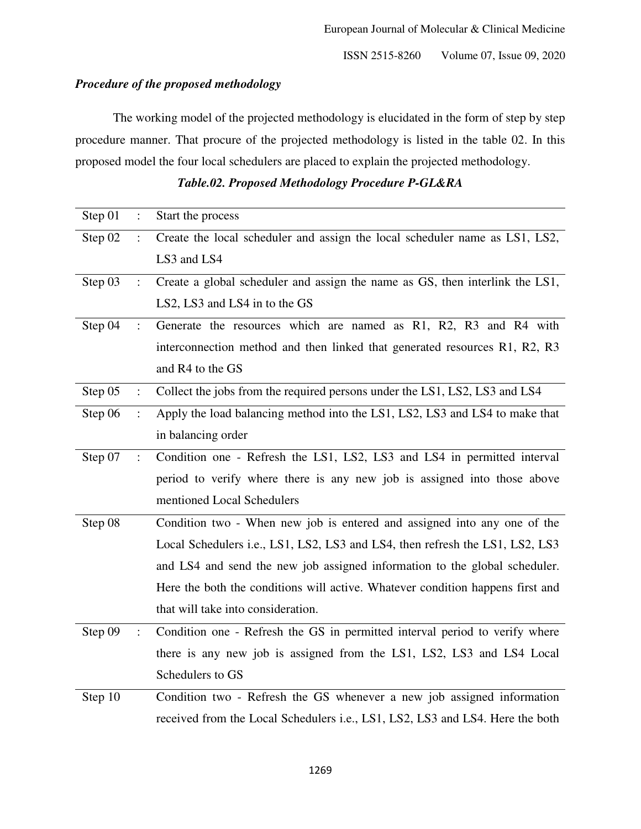# *Procedure of the proposed methodology*

 The working model of the projected methodology is elucidated in the form of step by step procedure manner. That procure of the projected methodology is listed in the table 02. In this proposed model the four local schedulers are placed to explain the projected methodology.

| Step 01 | $\ddot{\cdot}$       | Start the process                                                              |  |  |  |  |
|---------|----------------------|--------------------------------------------------------------------------------|--|--|--|--|
| Step 02 | $\ddot{\cdot}$       | Create the local scheduler and assign the local scheduler name as LS1, LS2,    |  |  |  |  |
|         |                      | LS3 and LS4                                                                    |  |  |  |  |
| Step 03 | $\ddot{\phantom{a}}$ | Create a global scheduler and assign the name as GS, then interlink the LS1,   |  |  |  |  |
|         |                      | LS2, LS3 and LS4 in to the GS                                                  |  |  |  |  |
| Step 04 | $\ddot{\phantom{0}}$ | Generate the resources which are named as R1, R2, R3 and R4 with               |  |  |  |  |
|         |                      | interconnection method and then linked that generated resources R1, R2, R3     |  |  |  |  |
|         |                      | and R4 to the GS                                                               |  |  |  |  |
| Step 05 | $\ddot{\cdot}$       | Collect the jobs from the required persons under the LS1, LS2, LS3 and LS4     |  |  |  |  |
| Step 06 | $\ddot{\phantom{0}}$ | Apply the load balancing method into the LS1, LS2, LS3 and LS4 to make that    |  |  |  |  |
|         |                      | in balancing order                                                             |  |  |  |  |
| Step 07 | $\ddot{\cdot}$       | Condition one - Refresh the LS1, LS2, LS3 and LS4 in permitted interval        |  |  |  |  |
|         |                      | period to verify where there is any new job is assigned into those above       |  |  |  |  |
|         |                      | mentioned Local Schedulers                                                     |  |  |  |  |
| Step 08 |                      | Condition two - When new job is entered and assigned into any one of the       |  |  |  |  |
|         |                      | Local Schedulers i.e., LS1, LS2, LS3 and LS4, then refresh the LS1, LS2, LS3   |  |  |  |  |
|         |                      | and LS4 and send the new job assigned information to the global scheduler.     |  |  |  |  |
|         |                      | Here the both the conditions will active. Whatever condition happens first and |  |  |  |  |
|         |                      | that will take into consideration.                                             |  |  |  |  |
| Step 09 |                      | Condition one - Refresh the GS in permitted interval period to verify where    |  |  |  |  |
|         |                      | there is any new job is assigned from the LS1, LS2, LS3 and LS4 Local          |  |  |  |  |
|         |                      | Schedulers to GS                                                               |  |  |  |  |
| Step 10 |                      | Condition two - Refresh the GS whenever a new job assigned information         |  |  |  |  |
|         |                      | received from the Local Schedulers i.e., LS1, LS2, LS3 and LS4. Here the both  |  |  |  |  |

# *Table.02. Proposed Methodology Procedure P-GL&RA*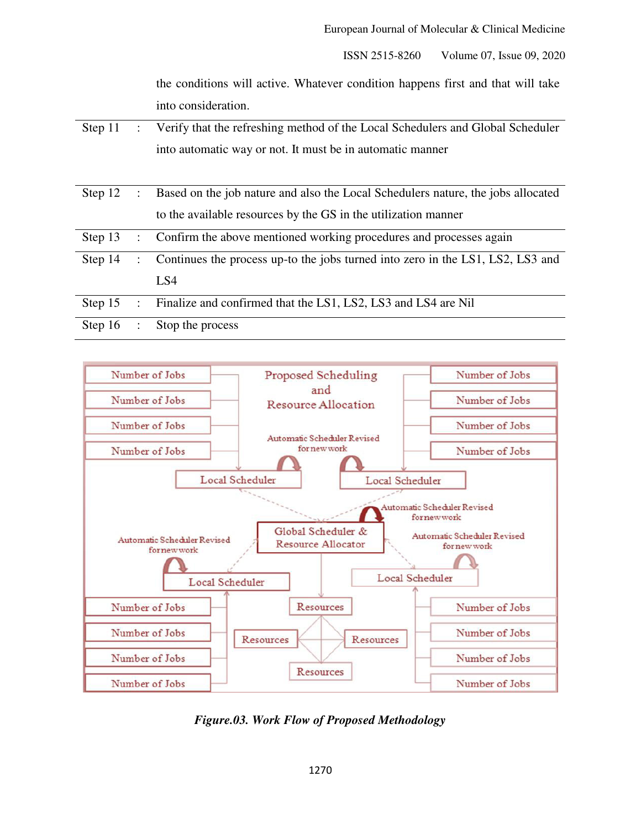the conditions will active. Whatever condition happens first and that will take into consideration.

| Step 11 | $\mathcal{L}$        | Verify that the refreshing method of the Local Schedulers and Global Scheduler   |
|---------|----------------------|----------------------------------------------------------------------------------|
|         |                      | into automatic way or not. It must be in automatic manner                        |
|         |                      |                                                                                  |
| Step 12 | $\ddot{\phantom{a}}$ | Based on the job nature and also the Local Schedulers nature, the jobs allocated |
|         |                      | to the available resources by the GS in the utilization manner                   |
| Step 13 |                      | : Confirm the above mentioned working procedures and processes again             |
| Step 14 |                      | : Continues the process up-to the jobs turned into zero in the LS1, LS2, LS3 and |
|         |                      | LS4                                                                              |
| Step 15 | $\mathbb{R}^2$       | Finalize and confirmed that the LS1, LS2, LS3 and LS4 are Nil                    |
| Step 16 | $\ddot{\phantom{a}}$ | Stop the process                                                                 |



*Figure.03. Work Flow of Proposed Methodology*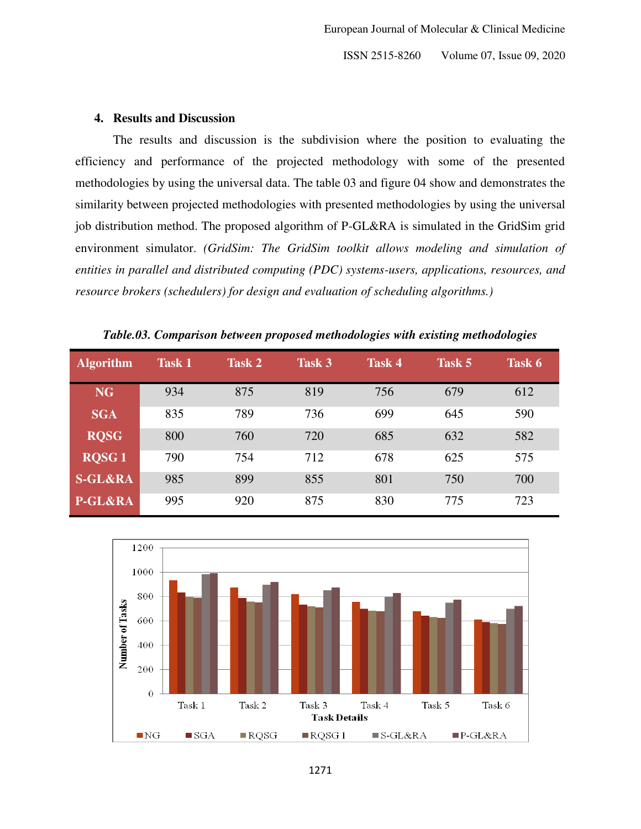# **4. Results and Discussion**

 The results and discussion is the subdivision where the position to evaluating the efficiency and performance of the projected methodology with some of the presented methodologies by using the universal data. The table 03 and figure 04 show and demonstrates the similarity between projected methodologies with presented methodologies by using the universal job distribution method. The proposed algorithm of P-GL&RA is simulated in the GridSim grid environment simulator. *(GridSim: The GridSim toolkit allows modeling and simulation of entities in parallel and distributed computing (PDC) systems-users, applications, resources, and resource brokers (schedulers) for design and evaluation of scheduling algorithms.)* 

| <b>Algorithm</b>   | <b>Task 1</b> | Task 2 | Task 3 | <b>Task 4</b> | Task 5 | Task 6 |
|--------------------|---------------|--------|--------|---------------|--------|--------|
| <b>NG</b>          | 934           | 875    | 819    | 756           | 679    | 612    |
| <b>SGA</b>         | 835           | 789    | 736    | 699           | 645    | 590    |
| <b>RQSG</b>        | 800           | 760    | 720    | 685           | 632    | 582    |
| <b>ROSG1</b>       | 790           | 754    | 712    | 678           | 625    | 575    |
| <b>S-GL&amp;RA</b> | 985           | 899    | 855    | 801           | 750    | 700    |
| P-GL&RA            | 995           | 920    | 875    | 830           | 775    | 723    |

*Table.03. Comparison between proposed methodologies with existing methodologies* 

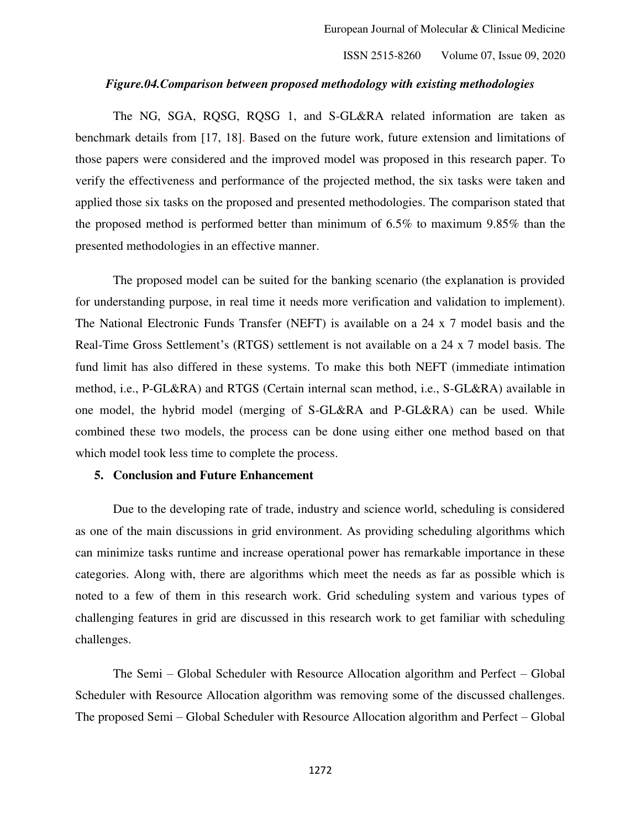## *Figure.04.Comparison between proposed methodology with existing methodologies*

The NG, SGA, RQSG, RQSG 1, and S-GL&RA related information are taken as benchmark details from [17, 18]. Based on the future work, future extension and limitations of those papers were considered and the improved model was proposed in this research paper. To verify the effectiveness and performance of the projected method, the six tasks were taken and applied those six tasks on the proposed and presented methodologies. The comparison stated that the proposed method is performed better than minimum of 6.5% to maximum 9.85% than the presented methodologies in an effective manner.

 The proposed model can be suited for the banking scenario (the explanation is provided for understanding purpose, in real time it needs more verification and validation to implement). The National Electronic Funds Transfer (NEFT) is available on a 24 x 7 model basis and the Real-Time Gross Settlement's (RTGS) settlement is not available on a 24 x 7 model basis. The fund limit has also differed in these systems. To make this both NEFT (immediate intimation method, i.e., P-GL&RA) and RTGS (Certain internal scan method, i.e., S-GL&RA) available in one model, the hybrid model (merging of S-GL&RA and P-GL&RA) can be used. While combined these two models, the process can be done using either one method based on that which model took less time to complete the process.

## **5. Conclusion and Future Enhancement**

Due to the developing rate of trade, industry and science world, scheduling is considered as one of the main discussions in grid environment. As providing scheduling algorithms which can minimize tasks runtime and increase operational power has remarkable importance in these categories. Along with, there are algorithms which meet the needs as far as possible which is noted to a few of them in this research work. Grid scheduling system and various types of challenging features in grid are discussed in this research work to get familiar with scheduling challenges.

The Semi – Global Scheduler with Resource Allocation algorithm and Perfect – Global Scheduler with Resource Allocation algorithm was removing some of the discussed challenges. The proposed Semi – Global Scheduler with Resource Allocation algorithm and Perfect – Global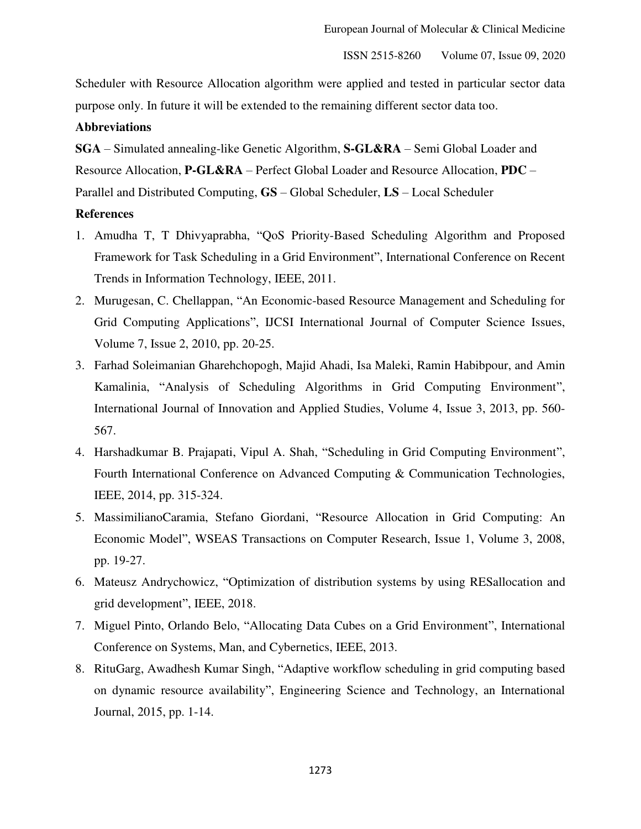Scheduler with Resource Allocation algorithm were applied and tested in particular sector data purpose only. In future it will be extended to the remaining different sector data too.

# **Abbreviations**

**SGA** – Simulated annealing-like Genetic Algorithm, **S-GL&RA** – Semi Global Loader and Resource Allocation, **P-GL&RA** – Perfect Global Loader and Resource Allocation, **PDC** – Parallel and Distributed Computing, **GS** – Global Scheduler, **LS** – Local Scheduler

# **References**

- 1. Amudha T, T Dhivyaprabha, "QoS Priority-Based Scheduling Algorithm and Proposed Framework for Task Scheduling in a Grid Environment", International Conference on Recent Trends in Information Technology, IEEE, 2011.
- 2. Murugesan, C. Chellappan, "An Economic-based Resource Management and Scheduling for Grid Computing Applications", IJCSI International Journal of Computer Science Issues, Volume 7, Issue 2, 2010, pp. 20-25.
- 3. Farhad Soleimanian Gharehchopogh, Majid Ahadi, Isa Maleki, Ramin Habibpour, and Amin Kamalinia, "Analysis of Scheduling Algorithms in Grid Computing Environment", International Journal of Innovation and Applied Studies, Volume 4, Issue 3, 2013, pp. 560- 567.
- 4. Harshadkumar B. Prajapati, Vipul A. Shah, "Scheduling in Grid Computing Environment", Fourth International Conference on Advanced Computing & Communication Technologies, IEEE, 2014, pp. 315-324.
- 5. MassimilianoCaramia, Stefano Giordani, "Resource Allocation in Grid Computing: An Economic Model", WSEAS Transactions on Computer Research, Issue 1, Volume 3, 2008, pp. 19-27.
- 6. Mateusz Andrychowicz, "Optimization of distribution systems by using RESallocation and grid development", IEEE, 2018.
- 7. Miguel Pinto, Orlando Belo, "Allocating Data Cubes on a Grid Environment", International Conference on Systems, Man, and Cybernetics, IEEE, 2013.
- 8. RituGarg, Awadhesh Kumar Singh, "Adaptive workflow scheduling in grid computing based on dynamic resource availability", Engineering Science and Technology, an International Journal, 2015, pp. 1-14.